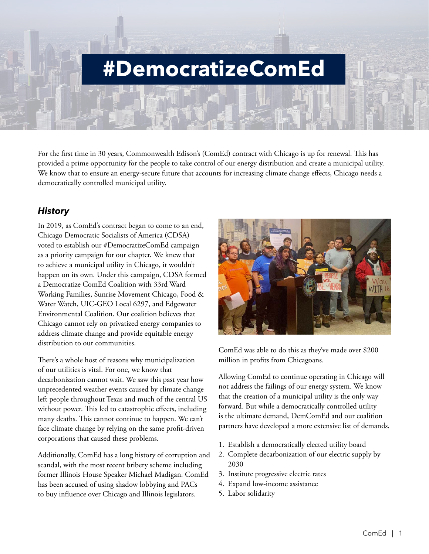# **#DemocratizeComEd**

For the first time in 30 years, Commonwealth Edison's (ComEd) contract with Chicago is up for renewal. This has provided a prime opportunity for the people to take control of our energy distribution and create a municipal utility. We know that to ensure an energy-secure future that accounts for increasing climate change effects, Chicago needs a democratically controlled municipal utility.

# *History*

In 2019, as ComEd's contract began to come to an end, Chicago Democratic Socialists of America (CDSA) voted to establish our #DemocratizeComEd campaign as a priority campaign for our chapter. We knew that to achieve a municipal utility in Chicago, it wouldn't happen on its own. Under this campaign, CDSA formed a Democratize ComEd Coalition with 33rd Ward Working Families, Sunrise Movement Chicago, Food & Water Watch, UIC-GEO Local 6297, and Edgewater Environmental Coalition. Our coalition believes that Chicago cannot rely on privatized energy companies to address climate change and provide equitable energy distribution to our communities.

There's a whole host of reasons why municipalization of our utilities is vital. For one, we know that decarbonization cannot wait. We saw this past year how unprecedented weather events caused by climate change left people throughout Texas and much of the central US without power. This led to catastrophic effects, including many deaths. This cannot continue to happen. We can't face climate change by relying on the same profit-driven corporations that caused these problems.

Additionally, ComEd has a long history of corruption and scandal, with the most recent bribery scheme including former Illinois House Speaker Michael Madigan. ComEd has been accused of using shadow lobbying and PACs to buy influence over Chicago and Illinois legislators.



ComEd was able to do this as they've made over \$200 million in profits from Chicagoans.

Allowing ComEd to continue operating in Chicago will not address the failings of our energy system. We know that the creation of a municipal utility is the only way forward. But while a democratically controlled utility is the ultimate demand, DemComEd and our coalition partners have developed a more extensive list of demands.

- 1. Establish a democratically elected utility board
- 2. Complete decarbonization of our electric supply by 2030
- 3. Institute progressive electric rates
- 4. Expand low-income assistance
- 5. Labor solidarity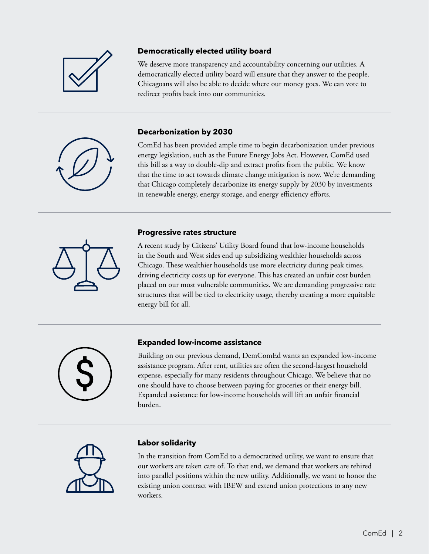

### **Democratically elected utility board**

We deserve more transparency and accountability concerning our utilities. A democratically elected utility board will ensure that they answer to the people. Chicagoans will also be able to decide where our money goes. We can vote to redirect profits back into our communities.

#### **Decarbonization by 2030**

ComEd has been provided ample time to begin decarbonization under previous energy legislation, such as the Future Energy Jobs Act. However, ComEd used this bill as a way to double-dip and extract profits from the public. We know that the time to act towards climate change mitigation is now. We're demanding that Chicago completely decarbonize its energy supply by 2030 by investments in renewable energy, energy storage, and energy efficiency efforts.

# **Progressive rates structure**

A recent study by Citizens' Utility Board found that low-income households in the South and West sides end up subsidizing wealthier households across Chicago. These wealthier households use more electricity during peak times, driving electricity costs up for everyone. This has created an unfair cost burden placed on our most vulnerable communities. We are demanding progressive rate structures that will be tied to electricity usage, thereby creating a more equitable energy bill for all.



#### **Expanded low-income assistance**

Building on our previous demand, DemComEd wants an expanded low-income assistance program. After rent, utilities are often the second-largest household expense, especially for many residents throughout Chicago. We believe that no one should have to choose between paying for groceries or their energy bill. Expanded assistance for low-income households will lift an unfair financial burden.



### **Labor solidarity**

In the transition from ComEd to a democratized utility, we want to ensure that our workers are taken care of. To that end, we demand that workers are rehired into parallel positions within the new utility. Additionally, we want to honor the existing union contract with IBEW and extend union protections to any new workers.